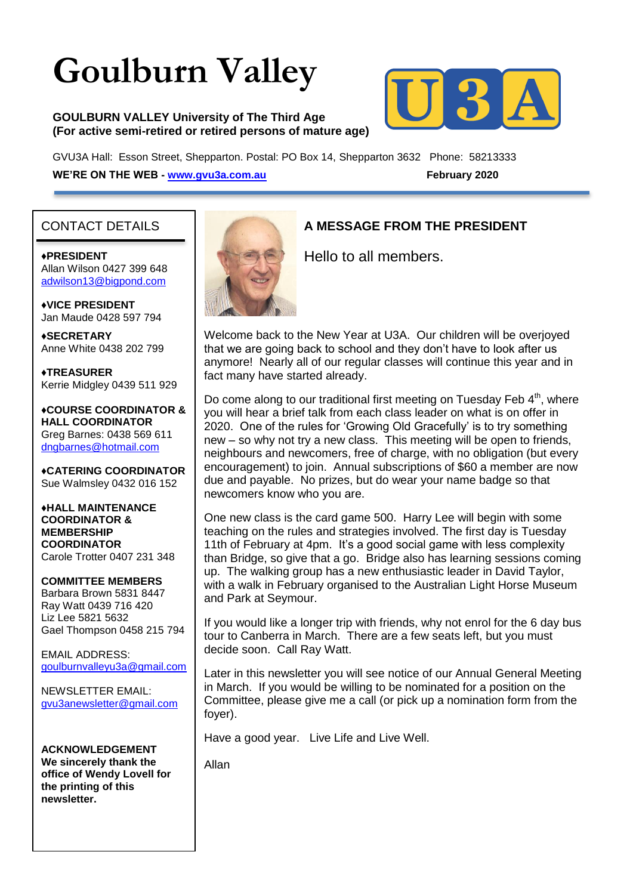# **Goulburn Valley**

#### **GOULBURN VALLEY University of The Third Age (For active semi-retired or retired persons of mature age)**



GVU3A Hall: Esson Street, Shepparton. Postal: PO Box 14, Shepparton 3632 Phone: 58213333 **WE'RE ON THE WEB - [www.gvu3a.com.au](http://www.gvu3a.com.au/) February 2020** 

## CONTACT DETAILS

#### ♦**PRESIDENT** Allan Wilson 0427 399 648 [adwilson13@bigpond.com](mailto:adwilson13@bigpond.com)

♦**VICE PRESIDENT** Jan Maude 0428 597 794

**♦SECRETARY** Anne White 0438 202 799

**♦TREASURER** Kerrie Midgley 0439 511 929

♦**COURSE COORDINATOR & HALL COORDINATOR** Greg Barnes: 0438 569 611 [dngbarnes@hotmail.com](mailto:dngbarnes@hotmail.com)

♦**CATERING COORDINATOR** Sue Walmsley 0432 016 152

♦**HALL MAINTENANCE COORDINATOR & MEMBERSHIP COORDINATOR** Carole Trotter 0407 231 348

**COMMITTEE MEMBERS** Barbara Brown 5831 8447 Ray Watt 0439 716 420 Liz Lee 5821 5632 Gael Thompson 0458 215 794

EMAIL ADDRESS: [goulburnvalleyu3a@gmail.com](mailto:goulburnvalleyu3a@gmail.com)

NEWSLETTER EMAIL: [gvu3anewsletter@gmail.com](mailto:gvu3anewsletter@gmail.com)

**ACKNOWLEDGEMENT We sincerely thank the office of Wendy Lovell for the printing of this newsletter.**



## **A MESSAGE FROM THE PRESIDENT**

Hello to all members.

Welcome back to the New Year at U3A. Our children will be overjoyed that we are going back to school and they don't have to look after us anymore! Nearly all of our regular classes will continue this year and in fact many have started already.

Do come along to our traditional first meeting on Tuesday Feb  $4<sup>th</sup>$ , where you will hear a brief talk from each class leader on what is on offer in 2020. One of the rules for 'Growing Old Gracefully' is to try something new – so why not try a new class. This meeting will be open to friends, neighbours and newcomers, free of charge, with no obligation (but every encouragement) to join. Annual subscriptions of \$60 a member are now due and payable. No prizes, but do wear your name badge so that newcomers know who you are.

One new class is the card game 500. Harry Lee will begin with some teaching on the rules and strategies involved. The first day is Tuesday 11th of February at 4pm. It's a good social game with less complexity than Bridge, so give that a go. Bridge also has learning sessions coming up. The walking group has a new enthusiastic leader in David Taylor, with a walk in February organised to the Australian Light Horse Museum and Park at Seymour.

If you would like a longer trip with friends, why not enrol for the 6 day bus tour to Canberra in March. There are a few seats left, but you must decide soon. Call Ray Watt.

Later in this newsletter you will see notice of our Annual General Meeting in March. If you would be willing to be nominated for a position on the Committee, please give me a call (or pick up a nomination form from the foyer).

Have a good year. Live Life and Live Well.

Allan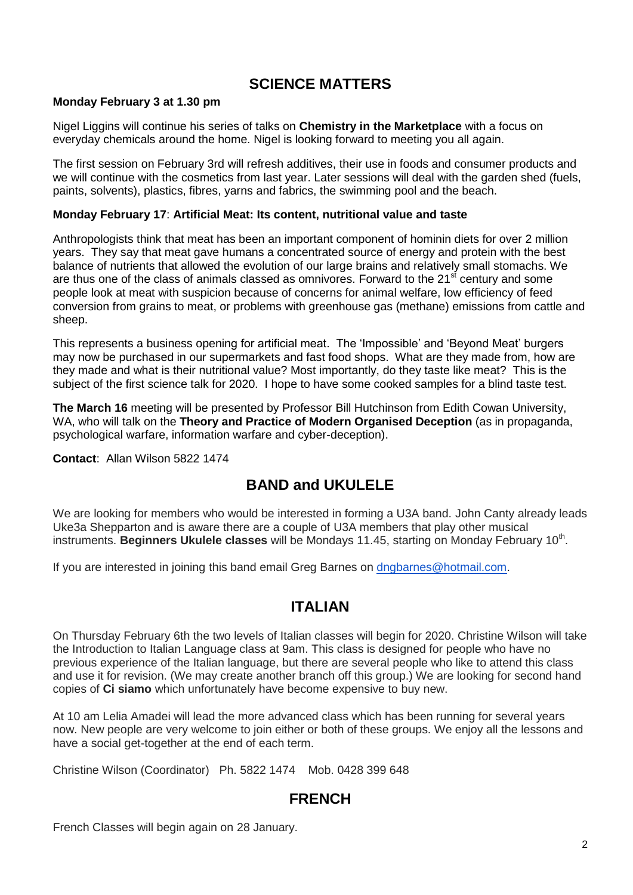## **SCIENCE MATTERS**

#### **Monday February 3 at 1.30 pm**

Nigel Liggins will continue his series of talks on **Chemistry in the Marketplace** with a focus on everyday chemicals around the home. Nigel is looking forward to meeting you all again.

The first session on February 3rd will refresh additives, their use in foods and consumer products and we will continue with the cosmetics from last year. Later sessions will deal with the garden shed (fuels, paints, solvents), plastics, fibres, yarns and fabrics, the swimming pool and the beach.

#### **Monday February 17**: **Artificial Meat: Its content, nutritional value and taste**

Anthropologists think that meat has been an important component of hominin diets for over 2 million years. They say that meat gave humans a concentrated source of energy and protein with the best balance of nutrients that allowed the evolution of our large brains and relatively small stomachs. We are thus one of the class of animals classed as omnivores. Forward to the 21<sup>st</sup> century and some people look at meat with suspicion because of concerns for animal welfare, low efficiency of feed conversion from grains to meat, or problems with greenhouse gas (methane) emissions from cattle and sheep.

This represents a business opening for artificial meat. The 'Impossible' and 'Beyond Meat' burgers may now be purchased in our supermarkets and fast food shops. What are they made from, how are they made and what is their nutritional value? Most importantly, do they taste like meat? This is the subject of the first science talk for 2020. I hope to have some cooked samples for a blind taste test.

**The March 16** meeting will be presented by Professor Bill Hutchinson from Edith Cowan University, WA, who will talk on the **Theory and Practice of Modern Organised Deception** (as in propaganda, psychological warfare, information warfare and cyber-deception).

**Contact**: Allan Wilson 5822 1474

# **BAND and UKULELE**

We are looking for members who would be interested in forming a U3A band. John Canty already leads Uke3a Shepparton and is aware there are a couple of U3A members that play other musical instruments. Beginners Ukulele classes will be Mondays 11.45, starting on Monday February 10<sup>th</sup>.

If you are interested in joining this band email Greg Barnes on [dngbarnes@hotmail.com.](mailto:dngbarnes@hotmail.com)

## **ITALIAN**

On Thursday February 6th the two levels of Italian classes will begin for 2020. Christine Wilson will take the Introduction to Italian Language class at 9am. This class is designed for people who have no previous experience of the Italian language, but there are several people who like to attend this class and use it for revision. (We may create another branch off this group.) We are looking for second hand copies of **Ci siamo** which unfortunately have become expensive to buy new.

At 10 am Lelia Amadei will lead the more advanced class which has been running for several years now. New people are very welcome to join either or both of these groups. We enjoy all the lessons and have a social get-together at the end of each term.

Christine Wilson (Coordinator) Ph. 5822 1474 Mob. 0428 399 648

## **FRENCH**

French Classes will begin again on 28 January.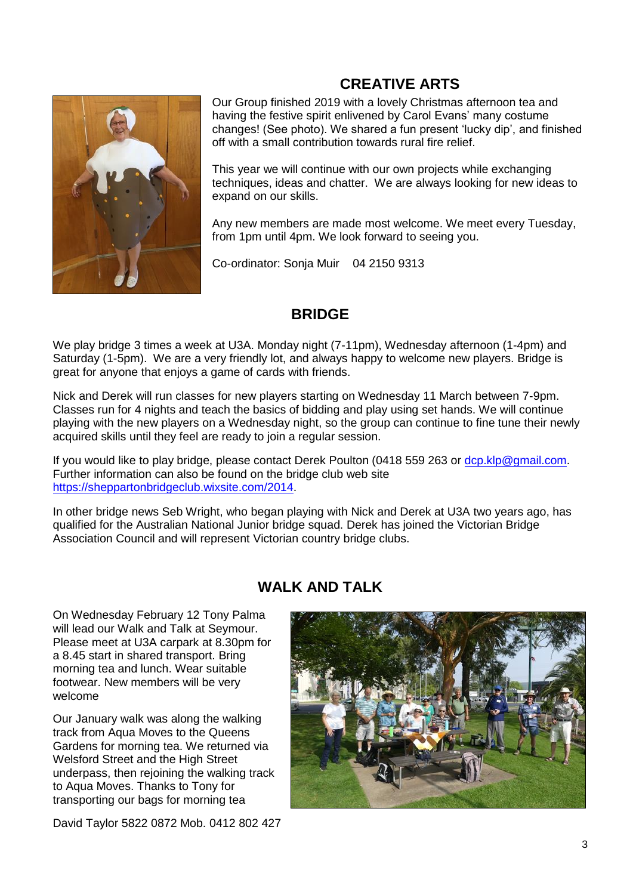# **CREATIVE ARTS**



Our Group finished 2019 with a lovely Christmas afternoon tea and having the festive spirit enlivened by Carol Evans' many costume changes! (See photo). We shared a fun present 'lucky dip', and finished off with a small contribution towards rural fire relief.

This year we will continue with our own projects while exchanging techniques, ideas and chatter. We are always looking for new ideas to expand on our skills.

Any new members are made most welcome. We meet every Tuesday, from 1pm until 4pm. We look forward to seeing you.

Co-ordinator: Sonja Muir 04 2150 9313

# **BRIDGE**

We play bridge 3 times a week at U3A. Monday night (7-11pm), Wednesday afternoon (1-4pm) and Saturday (1-5pm). We are a very friendly lot, and always happy to welcome new players. Bridge is great for anyone that enjoys a game of cards with friends.

Nick and Derek will run classes for new players starting on Wednesday 11 March between 7-9pm. Classes run for 4 nights and teach the basics of bidding and play using set hands. We will continue playing with the new players on a Wednesday night, so the group can continue to fine tune their newly acquired skills until they feel are ready to join a regular session.

If you would like to play bridge, please contact Derek Poulton (0418 559 263 or [dcp.klp@gmail.com.](mailto:dcp.klp@gmail.com) Further information can also be found on the bridge club web site [https://sheppartonbridgeclub.wixsite.com/2014.](https://sheppartonbridgeclub.wixsite.com/2014)

In other bridge news Seb Wright, who began playing with Nick and Derek at U3A two years ago, has qualified for the Australian National Junior bridge squad. Derek has joined the Victorian Bridge Association Council and will represent Victorian country bridge clubs.

# **WALK AND TALK**

On Wednesday February 12 Tony Palma will lead our Walk and Talk at Seymour. Please meet at U3A carpark at 8.30pm for a 8.45 start in shared transport. Bring morning tea and lunch. Wear suitable footwear. New members will be very welcome

Our January walk was along the walking track from Aqua Moves to the Queens Gardens for morning tea. We returned via Welsford Street and the High Street underpass, then rejoining the walking track to Aqua Moves. Thanks to Tony for transporting our bags for morning tea

David Taylor 5822 0872 Mob. 0412 802 427

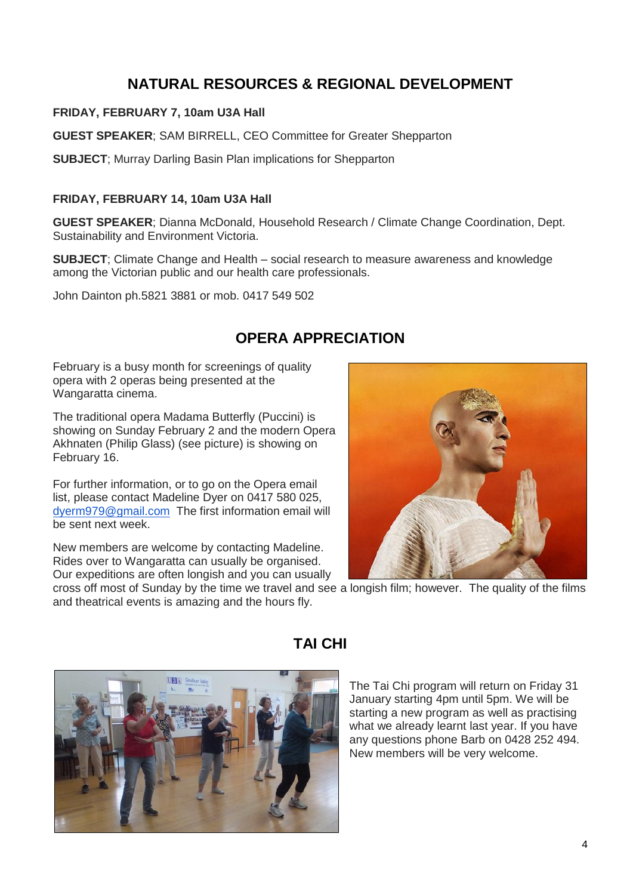# **NATURAL RESOURCES & REGIONAL DEVELOPMENT**

#### **FRIDAY, FEBRUARY 7, 10am U3A Hall**

**GUEST SPEAKER**; SAM BIRRELL, CEO Committee for Greater Shepparton

**SUBJECT**; Murray Darling Basin Plan implications for Shepparton

#### **FRIDAY, FEBRUARY 14, 10am U3A Hall**

**GUEST SPEAKER**; Dianna McDonald, Household Research / Climate Change Coordination, Dept. Sustainability and Environment Victoria.

**SUBJECT**; Climate Change and Health – social research to measure awareness and knowledge among the Victorian public and our health care professionals.

John Dainton ph.5821 3881 or mob. 0417 549 502

# **OPERA APPRECIATION**

February is a busy month for screenings of quality opera with 2 operas being presented at the Wangaratta cinema.

The traditional opera Madama Butterfly (Puccini) is showing on Sunday February 2 and the modern Opera Akhnaten (Philip Glass) (see picture) is showing on February 16.

For further information, or to go on the Opera email list, please contact Madeline Dyer on 0417 580 025, [dyerm979@gmail.com](mailto:dyerm979@gmail.com) The first information email will be sent next week.

New members are welcome by contacting Madeline. Rides over to Wangaratta can usually be organised. Our expeditions are often longish and you can usually



cross off most of Sunday by the time we travel and see a longish film; however. The quality of the films and theatrical events is amazing and the hours fly.



# **TAI CHI**

The Tai Chi program will return on Friday 31 January starting 4pm until 5pm. We will be starting a new program as well as practising what we already learnt last year. If you have any questions phone Barb on 0428 252 494. New members will be very welcome.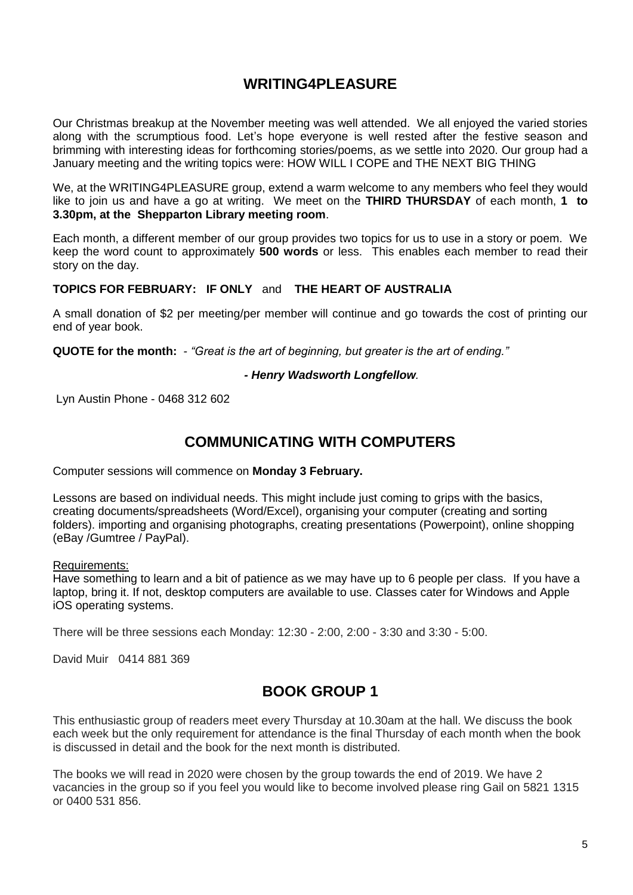# **WRITING4PLEASURE**

Our Christmas breakup at the November meeting was well attended. We all enjoyed the varied stories along with the scrumptious food. Let's hope everyone is well rested after the festive season and brimming with interesting ideas for forthcoming stories/poems, as we settle into 2020. Our group had a January meeting and the writing topics were: HOW WILL I COPE and THE NEXT BIG THING

We, at the WRITING4PLEASURE group, extend a warm welcome to any members who feel they would like to join us and have a go at writing. We meet on the **THIRD THURSDAY** of each month, **1 to 3.30pm, at the Shepparton Library meeting room**.

Each month, a different member of our group provides two topics for us to use in a story or poem. We keep the word count to approximately **500 words** or less. This enables each member to read their story on the day.

#### **TOPICS FOR FEBRUARY: IF ONLY** and **THE HEART OF AUSTRALIA**

A small donation of \$2 per meeting/per member will continue and go towards the cost of printing our end of year book.

**QUOTE for the month:** *- "Great is the art of beginning, but greater is the art of ending."*

#### *- Henry Wadsworth Longfellow.*

Lyn Austin Phone - 0468 312 602

## **COMMUNICATING WITH COMPUTERS**

Computer sessions will commence on **Monday 3 February.**

Lessons are based on individual needs. This might include just coming to grips with the basics, creating documents/spreadsheets (Word/Excel), organising your computer (creating and sorting folders). importing and organising photographs, creating presentations (Powerpoint), online shopping (eBay /Gumtree / PayPal).

Requirements:

Have something to learn and a bit of patience as we may have up to 6 people per class. If you have a laptop, bring it. If not, desktop computers are available to use. Classes cater for Windows and Apple iOS operating systems.

There will be three sessions each Monday: 12:30 - 2:00, 2:00 - 3:30 and 3:30 - 5:00.

David Muir 0414 881 369

# **BOOK GROUP 1**

This enthusiastic group of readers meet every Thursday at 10.30am at the hall. We discuss the book each week but the only requirement for attendance is the final Thursday of each month when the book is discussed in detail and the book for the next month is distributed.

The books we will read in 2020 were chosen by the group towards the end of 2019. We have 2 vacancies in the group so if you feel you would like to become involved please ring Gail on 5821 1315 or 0400 531 856.